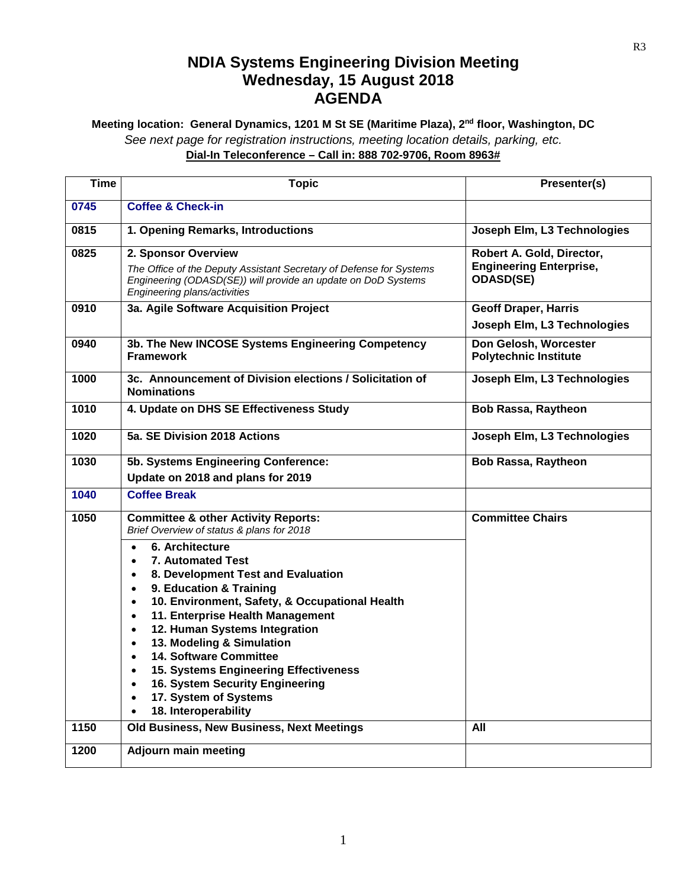## **NDIA Systems Engineering Division Meeting Wednesday, 15 August 2018 AGENDA**

## **Meeting location: General Dynamics, 1201 M St SE (Maritime Plaza), 2nd floor, Washington, DC** *See next page for registration instructions, meeting location details, parking, etc.* **Dial-In Teleconference – Call in: 888 702-9706, Room 8963#**

| <b>Time</b> | <b>Topic</b>                                                                                                                                                                                                                                                                                                                                                                                                                                                                                                                                                                                                                                       | Presenter(s)                                                                    |
|-------------|----------------------------------------------------------------------------------------------------------------------------------------------------------------------------------------------------------------------------------------------------------------------------------------------------------------------------------------------------------------------------------------------------------------------------------------------------------------------------------------------------------------------------------------------------------------------------------------------------------------------------------------------------|---------------------------------------------------------------------------------|
| 0745        | <b>Coffee &amp; Check-in</b>                                                                                                                                                                                                                                                                                                                                                                                                                                                                                                                                                                                                                       |                                                                                 |
| 0815        | 1. Opening Remarks, Introductions                                                                                                                                                                                                                                                                                                                                                                                                                                                                                                                                                                                                                  | Joseph Elm, L3 Technologies                                                     |
| 0825        | 2. Sponsor Overview<br>The Office of the Deputy Assistant Secretary of Defense for Systems<br>Engineering (ODASD(SE)) will provide an update on DoD Systems<br>Engineering plans/activities                                                                                                                                                                                                                                                                                                                                                                                                                                                        | Robert A. Gold, Director,<br><b>Engineering Enterprise,</b><br><b>ODASD(SE)</b> |
| 0910        | 3a. Agile Software Acquisition Project                                                                                                                                                                                                                                                                                                                                                                                                                                                                                                                                                                                                             | <b>Geoff Draper, Harris</b><br>Joseph Elm, L3 Technologies                      |
| 0940        | 3b. The New INCOSE Systems Engineering Competency<br><b>Framework</b>                                                                                                                                                                                                                                                                                                                                                                                                                                                                                                                                                                              | Don Gelosh, Worcester<br><b>Polytechnic Institute</b>                           |
| 1000        | 3c. Announcement of Division elections / Solicitation of<br><b>Nominations</b>                                                                                                                                                                                                                                                                                                                                                                                                                                                                                                                                                                     | Joseph Elm, L3 Technologies                                                     |
| 1010        | 4. Update on DHS SE Effectiveness Study                                                                                                                                                                                                                                                                                                                                                                                                                                                                                                                                                                                                            | <b>Bob Rassa, Raytheon</b>                                                      |
| 1020        | 5a. SE Division 2018 Actions                                                                                                                                                                                                                                                                                                                                                                                                                                                                                                                                                                                                                       | Joseph Elm, L3 Technologies                                                     |
| 1030        | 5b. Systems Engineering Conference:<br>Update on 2018 and plans for 2019                                                                                                                                                                                                                                                                                                                                                                                                                                                                                                                                                                           | <b>Bob Rassa, Raytheon</b>                                                      |
| 1040        | <b>Coffee Break</b>                                                                                                                                                                                                                                                                                                                                                                                                                                                                                                                                                                                                                                |                                                                                 |
| 1050        | <b>Committee &amp; other Activity Reports:</b><br>Brief Overview of status & plans for 2018<br>6. Architecture<br>$\bullet$<br><b>7. Automated Test</b><br>$\bullet$<br>8. Development Test and Evaluation<br>$\bullet$<br>9. Education & Training<br>$\bullet$<br>10. Environment, Safety, & Occupational Health<br>$\bullet$<br>11. Enterprise Health Management<br>$\bullet$<br>12. Human Systems Integration<br>$\bullet$<br>13. Modeling & Simulation<br>$\bullet$<br><b>14. Software Committee</b><br>$\bullet$<br>15. Systems Engineering Effectiveness<br>16. System Security Engineering<br>17. System of Systems<br>18. Interoperability | <b>Committee Chairs</b>                                                         |
| 1150        | Old Business, New Business, Next Meetings                                                                                                                                                                                                                                                                                                                                                                                                                                                                                                                                                                                                          | All                                                                             |
| 1200        | <b>Adjourn main meeting</b>                                                                                                                                                                                                                                                                                                                                                                                                                                                                                                                                                                                                                        |                                                                                 |